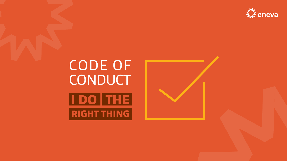# CODE OF CONDUCT **IDO THE RIGHT THING**







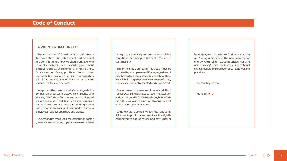its employees. In order to fulfill our mission ofk "being a pioneer in the new frontiers of energy, with reliability, competitiveness and responsibility", there must be an unconditional engagement to the execution of our daily working practices.

I am counting on you.

Pedro Zinner

### **Code of Conduct**

### **A WORD FROM OUR CEO**

Eneva's Code of Conduct is a guidebook for our actions in professional and personal relations. It guides how we should engage with several audiences, such as clients, government entities, society, shareholders, among others. Since the last Code, published in 2017, our company has evolved and has been operating with integrity and in an ethical and transparent manner in all our interactions.

Integrity is the main tool which must guide the conduction of our work, always in compliance with the law, this Code of Conduct and with our internal policies and guidelines. Integrity is a non-negotiable value. Therefore, we invest in building a solid culture and encouraging ethical conducts among employees, business partners and clients.

Eneva's and its employees' reputation is one of the greatest assets of the company. We are committed

to negotiating ethically and ensure decent labor conditions, according to the best practices in sustainability.

The principles defined in this Code must be complied by all employees of Eneva, regardless of their hierarchical level, position or location. Thus, we will build together an environment of trust, where everyone feel respected and appreciated.

Eneva seeks to make employees and Third Parties aware of critical issues requiring attention and caution, and it formalizes through this Code the culture we wish to share by following the best ethical management practices.

We know that a company's identity is not only linked to its products and services, it is tightly connected to the behavior and attitudes of

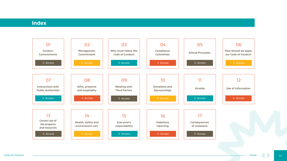Code of Conduct 03



### **Index**

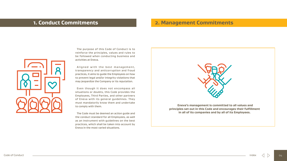### **1. Conduct Commitments 2. Management Commitments**





The purpose of this Code of Conduct is to reinforce the principles, values and rules to be followed when conducting business and activities at Eneva.

Aligned with the best management, transparency and anticorruption and fraud practices, it aims to guide the Employees on how to prevent legal and/or integrity violations that may jeopardize the Company or its reputation.

Even though it does not encompass all situations or doubts, this Code provides the Employees, Third Parties, and other partners of Eneva with its general guidelines. They must mandatorily know them and undertake to comply with them.

The Code must be deemed an action guide and the conduct standard for all Employees, as well as an instrument with guidelines on the best practices, which shall be taken into account by Eneva in the most varied situations.

**Eneva's management is committed to all values and principles set out in this Code and encourages their fulfillment in all of its companies and by all of its Employees.**

index

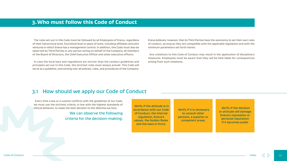### **3.Who must follow this Code of Conduct**

### 3.1 How should we apply our Code of Conduct

The rules set out in this Code must be followed by all Employees of Eneva, regard of their hierarchical level, functional level or place of work, including affiliates and jo ventures in which Eneva has a management control. In addition, this Code must also observed by Third Parties or any person acting on behalf of the Company, all memi of the Board of Directors, the Chief Executive Officer and other executive officers.

In case the local laws and regulations are stricter than the conduct guidelines principles set out in this Code, the strictest rules must always prevail. This Code serve as a guideline, overcoming over all policies, rules, and procedures of the Compa

| <b>lless</b><br>oint | Eneva believes, however, that its Third Parties have the autonomy to set their own rules<br>of conduct, as long as they are compatible with the applicable legislation and with the |
|----------------------|-------------------------------------------------------------------------------------------------------------------------------------------------------------------------------------|
| o be                 | minimum parameters set forth herein.                                                                                                                                                |
| bers                 |                                                                                                                                                                                     |
|                      | Any violations to this Code of Conduct may result in the application of disciplinary<br>measures. Employees must be aware that they will be held liable for consequences            |
| and                  | arising from such violations.                                                                                                                                                       |
| will                 |                                                                                                                                                                                     |
| any.                 |                                                                                                                                                                                     |
|                      |                                                                                                                                                                                     |

Every time a law or a custom conflicts with the guidelines of our Code, we must use the strictest criteria, in line with the highest standards of ethical behavior, to make the best decision to the dilemma we face.

### We can observe the following criteria for the decision-making:

 $\textsf{Code of Conduct} \quad \textcolor{red}{\blacksquare} \quad \textsf{index} \quad \textcolor{red}{\bigtriangleup} \quad \textcolor{red}{\bigtriangledown} \quad \textcolor{red}{\mathsf{O5}}$ 



Verify if the attitude is in accordance with our Code of Conduct, the internal regulation, Eneva's values, the Golden Rules and the laws in force;

Verify if it is necessary to consult other persons, a superior or competent areas;

Verify if the decision or attitude will damage Eneva's reputation or personal reputation if it becomes public

index

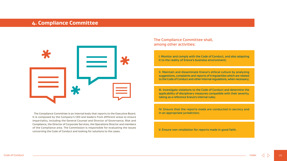### **4. Compliance Committee**



The Compliance Committee is an internal body that reports to the Executive Board. It is composed by the Company's CEO and leaders from different areas to ensure impartiality, including the General Counsel and Director of Governance, Risk and Compliance, the Director of Corporate Services, the Operations Director and members of the Compliance area. The Commission is responsible for evaluating the issues concerning the Code of Conduct and looking for solutions to the cases.

### The Compliance Committee shall, among other activities:

I. Monitor and comply with the Code of Conduct, and also adapting it to the reality of Eneva's business environment;

II. Maintain and disseminate Eneva's ethical culture by analyzing suggestions, complaints and reports of irregularities which are related to the Code of Conduct and other internal regulations, when necessary;

III. Investigate violations to the Code of Conduct and determine the applicability of disciplinary measures compatible with their severity, taking as a reference Eneva's internal rules;

IV. Ensure that the reports made are conducted in secrecy and in an appropriate jurisdiction;

V. Ensure non-retaliation for reports made in good faith.

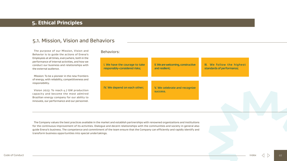### **5. Ethical Principles**

### 5.1. Mission, Vision and Behaviors

The purpose of our Mission, Vision and Behaviors: Behavior is to guide the actions of Eneva's Employees at all times, everywhere, both in the performance of internal activities, and how we conduct our business and relationships with the external audience.

Mission: To be a pioneer in the new frontiers of energy, with reliability, competitiveness and responsibility.

Vision 2023: To reach 4.7 GW production capacity and become the most admired Brazilian energy company for our ability to innovate, our performance and our personnel.



IV. We depend on each

| to take<br>isks; | II. We are welcoming, constructive<br>and resilient; | III. We follow the highest<br>standards of performance; |  |
|------------------|------------------------------------------------------|---------------------------------------------------------|--|
| other;           | V. We celebrate and recognize<br><b>SUCCESS.</b>     |                                                         |  |
|                  |                                                      |                                                         |  |

The Company values the best practices available in the market and establish partnerships with renowned organizations and institutions for the continuous improvement of its activities. Dialogue and decent relationships with the communities and society in general also guide Eneva's business. The competence and commitment of the team ensure that the Company can efficiently and rapidly identify and transform business opportunities into special undertakings.

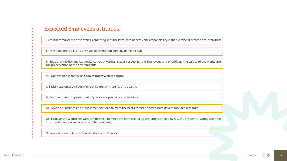### Expected Employees attitudes:

I. Act in accordance with the ethics, complying with the laws, with honesty and responsibility in the exercise of professional activities;

II. Reject and report all and any type of corruption (directly or indirectly);

III. Seek profitability and corporate competitiveness always respecting the Employees and prioritizing the safety of the workplace and preservation of the environment;

VIII. Manage the workforce with competence to meet the professional expectations of Employees, in a respectful workplace, free from discrimination and any type of harassment;

IV. Promote transparency and commitment with the truth;

V. Satisfy customers' needs with transparency, integrity and quality;

VI. Seek continued improvement of processes, products and services;

VII. Develop guidelines and management actions to meet the best practices of corporate governance and integrity;

IX. Repudiate every type of forced, slave or child labor.

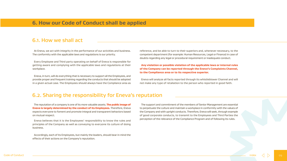### **6. How our Code of Conduct shall be applied**

### 6.1. How we shall act

### 6.2. Sharing the responsibility for Eneva's reputation

At Eneva, we act with integrity in the performance of our activities and business. The conformity with the applicable laws and regulations is our priority.

Every Employee and Third party operating on behalf of Eneva is responsible for getting aware and complying with the applicable laws and regulations at their workplace.

Eneva, in turn, will do everything that is necessary to support all the Employees, and provide proper and frequent training regarding the conducts that should be adopted in a given actual case. The Employees should always have the Compliance area as

The reputation of a company is one of its more valuable assets. The public image of Eneva is largely determined by the conduct of its Employees. Therefore, Eneva expects everyone to foment and promote integral and transparent behaviors based on mutual respect.

reference, and be able to turn to their superiors and, whenever necessary, to the competent department (for example: Human Resources, Legal or Finance) in case of doubts regarding any legal or procedural requirement or inadequate conduct.

### Any violation or possible violation of the applicable laws or internal rules of the Company can be reported through the Eneva's Complaints Channel, to the Compliance area or to its respective superior.

Eneva will analyze all facts reported through its whistleblower Channel and will not make any type of retaliation to the person who reported in good faith.

Eneva believes that it is the Employees' responsibility to know the rules and principles of the Company as well as conveying to everyone its culture of doing business.

Accordingly, each of its Employees, but mainly the leaders, should bear in mind the effects of their actions on the Company's reputation.

The support and commitment of the members of Senior Management are essential to perpetuate the culture and maintain a workplace in conformity with the values of the Company and with upright conducts. Therefore, Eneva will seek, through example of good corporate conducts, to transmit to the Employees and Third Parties the perception of the relevance of the Compliance Program and of following its rules.

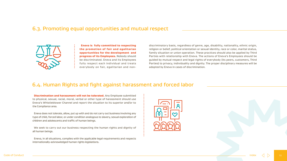### 6.3. Promoting equal opportunities and mutual respect



Eneva is fully committed to respecting the promotion of fair and egalitarian opportunities for the development and progress of its Employees. Nobody should be discriminated. Eneva and its Employees fully respect each individual and treats everybody on fair, egalitarian and non-

**Discrimination and harassment will not be tolerated.** Any Employee submitted to physical, sexual, racial, moral, verbal or other type of harassment should use Eneva's Whistleblower Channel and report the situation to its superior and/or to the Compliance area.

### 6.4. Human Rights and fight against harassment and forced labor

Eneva does not tolerate, allow, put up with and do not carry out business involving any type of child, forced labor, or under condition analogous to slavery, sexual exploration of children and adolescents and traffic of human beings.

We seek to carry out our business respecting the human rights and dignity of all human beings.

Eneva, in all situations, complies with the applicable legal requirements and respects internationally-acknowledged human rights legislations.

|        | discriminatory basis, regardless of genre, age, disability, nationality, ethnic origin,      |
|--------|----------------------------------------------------------------------------------------------|
|        | religion or belief, political orientation or sexual identity, race or color, marital status, |
| đ.     | family situation or union operation. These practices should also be applied by Third         |
| d.     | Parties with relationship with Eneva. The actions of Eneva's Employees should be             |
| S.     | guided by mutual respect and legal rights of everybody (its peers, customers, Third          |
| S.     | Parties) to privacy, individuality and dignity. The proper disciplinary measures will be     |
| $\sim$ | adopted by Eneva in cases of discrimination.                                                 |
|        |                                                                                              |









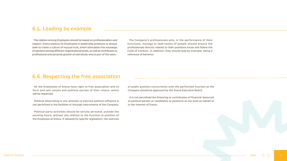### 6.5. Leading by example

### 6.6. Respecting the free association

All the Employees of Eneva have right to free association and to form and join unions and political parties of their choice, which will be respected.

Political advertising or any attempt to exercise political influence is not permitted in the facilities or through instruments of the Company.

Political party activities should be strictly personal, outside the working hours, without any relation to the function or position of the Employee at Eneva. If allowed by specific legislation, the exercise

of public position concurrently with the performed function at the Company should be approved by the Eneva Executive Board.

It is not permitted the financing or contribution of financial resources to political parties or candidates to positions at any level on behalf or in the interest of Eneva.

The relation among Employees should be based on professionalism and respect. Eneva expects its Employees in leadership positions to always seek to create a culture of mutual trust, which stimulates free exchange of opinions among different organizational levels, as well as contributes to professional and personal growth of everybody who is part of the team.

The Company's professionals who, in the performance of their functions, manage or lead teams of people should ensure the professionals directly related to their positions know and follow the Code of Conduct. In addition, they should lead by example, being a reference of behavior.

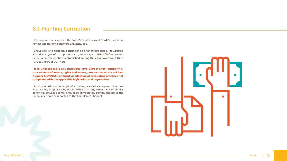### 6.7. Fighting Corruption

It is required and expected the Eneva's Employees and Third Parties show honest and upright behaviors and attitudes.

Eneva seeks to fight any corrupt and dishonest practices, repudiating all and any type of corruption, fraud, advantage, traffic of influence and extortion in the relations established among their Employees and Third Parties and Public Officers.

It is unacceptable any practices involving money laundering, concealment of assets, rights and values, pursuant to article 1 of Law Number 9,613/1998 of Brazil, or adoption of accounting practices not compliant with the applicable legislation and regulations.

Any insinuation or attempt of extortion, as well as request of undue advantages, originated by Public Officers or any other type of similar benefit by private agents, should be immediately communicated to the Compliance area or reported to the Complaints Channel.



index

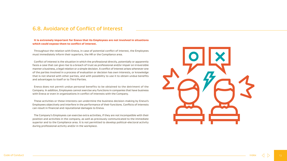### 6.8. Avoidance of Conflict of Interest

### It is extremely important for Eneva that its Employees are not involved in situations which could expose them to conflict of interest.

Throughout the relation with Eneva, in case of potential conflict of interest, the Employees must immediately inform their superiors, the HR or the Compliance area.

Conflict of interest is the situation in which the professional directly, potentially or apparently faces a case that can give rise to a breach of trust as professional and/or impair on irreversible manner a business, a legal relation or a simple decision. A conflict of interest arises whenever one of the parties involved in a process of evaluation or decision has own interests, or knowledge that is not shared with other parties, and with possibility to use it to obtain undue benefits and advantages to itself or to Third Parties.

Eneva does not permit undue personal benefits to be obtained to the detriment of the Company. In addition, Employees cannot exercise any functions in companies that have business with Eneva or even in organizations in conflict of interests with the Company.

These activities or these interests can undermine the business decision-making by Eneva's Employees objectively and interfere in the performance of their functions. Conflicts of interests can result in financial and reputational damages to Eneva.

The Company's Employees can exercise extra activities, if they are not incompatible with their position and activities in the company, as well as previously communicated to the immediate superior and to the Compliance area. It is not permitted to develop political-electoral activity during professional activity and/or in the workplace.



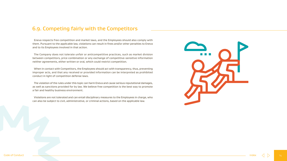### 6.9. Competing fairly with the Competitors

Eneva respects free competition and market laws, and the Employees should also comply with them. Pursuant to the applicable law, violations can result in fines and/or other penalties to Eneva and to its Employees involved in that action.

The Company does not tolerate unfair or anticompetitive practices, such as market division between competitors, price combination or any exchange of competitive-sensitive information neither agreements, either written or oral, which could restrict competition.

When in contact with Competitors, the Employees should act with transparency, thus, preventing improper acts, and that any received or provided information can be interpreted as prohibited conduct in light of competition defense laws.

The violation of the rules under this topic can harm Eneva and cause serious reputational damages, as well as sanctions provided for by law. We believe free competition is the best way to promote a fair and healthy business environment.

Violations are not tolerated and can entail disciplinary measures to the Employees in charge, who can also be subject to civil, administrative, or criminal actions, based on the applicable law.



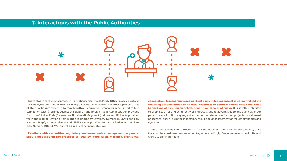

Eneva always seeks transparency in its relations, mainly with Public Officers. Accordingly, all the Employees and Third Parties, including partners, shareholders and other representatives of Third Parties are expected to comply with anticorruption standards, more specifically in connection with: (I) crimes against the Brazilian and foreign Public Administration provided for in the Criminal Code (Decree-Law Number 2848/1940); (II) crimes and illicit acts provided for in the Bidding Law and Administrative Improbity Law (Law Number 8666/93 and Law Number 8429/92, respectively); and (III) illicit acts provided for in the Anticorruption Law (Law Number 12846/2013), as well as in any other applicable law. cooperation, transparency, and political party independence. It is not permitted the financing or contribution of financial resources to political parties or to candidates to any type of position on behalf, benefit, or interest of Eneva. It is strictly prohibited to promise, offer or give, directly or indirectly, undue advantages to any public agent or person related to it in any regard, either in the interaction for new projects, obtainment of licenses, as well as in the inspection, regulation or assessment of regulatory bodies and agencies.

Relations with authorities, regulatory bodies and public management in general should be based on the precepts of legality, good faith, morality, efficiency, Any Urgency Fees can represent risk to the business and harm Eneva's image, once they can be considered undue advantages. Accordingly, Eneva expressly prohibits and works to eliminate them.

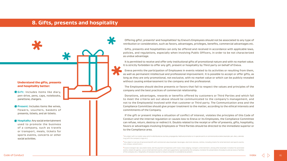### **8. Gifts, presents and hospitality**

Offering gifts<sup>1</sup>, presents<sup>2</sup> and hospitalities<sup>3</sup> by Eneva's Employees should not be associated to any type of retribution or consideration, such as favors, advantages, privileges, benefits, commercial advantages etc.

Gifts, presents and hospitalities can only be offered and received in accordance with applicable laws, policies, and regulations, especially when involving Public Officers, in order to be not characterized as undue advantage.

It is permitted to receive and offer only institutional gifts of promotional nature and with no market value. It is strictly forbidden to offer any gift, present or hospitality by Third party on behalf of Eneva.

Eneva permits the participation of Employees in events related to its activities or resulting from them, as well as permanent intellectual and professional improvement. It is possible to accept or offer gifts, as long as they are only promotional, not exclusive, with no market value or which can be publicly revealed without causing embarrassment to the company and the professional.

The Employees should decline presents or favors that fail to respect the values and principles of the company and the best practices of commercial relationship.

Donations, advantages, rewards or benefits offered by customers or Third Parties and which fail to meet the criteria set out above should be communicated to the company's management, and not to the Employee(s) involved with that customer or Third party. The Communication area and the Compliance Committee should give proper treatment to the matter, according to the ethical interests and commitments of the Company.

If the gift or present implies a situation of conflict of interest, violates the principles of this Code of Conduct and the internal regulation or causes loss to Eneva or its Employees, the Compliance Committee can refuse, return, destroy or redirect it. Doubts related to the receipt or offer of presents, gifts, hospitality, favors or advantages involving Employees or Third Parties should be directed to the immediate superior or to the Compliance area.

- **Gift:** Includes items like diary, pen-drive, pens, caps, notebooks, panettone, chargers.
- **\*** Present: Includes items like wines, flowers, vouchers, baskets of presents, tickets, and air tickets.
- **Hospitality:** Any social entertainment used to promote the business of a company, such as travels or transport, meals, tickets for sports events, concerts or other social activities.

runs, shows, concerts etc.).

 $\left\langle \text{Code of Conduct} \right\rangle$  and  $\left\langle \text{Oode of Conduct} \right\rangle$  and  $\left\langle \text{Oode of Conduct} \right\rangle$  and  $\left\langle \text{Oode of Conduct} \right\rangle$  and  $\left\langle \text{Oode of$ **Conductive conductive of Conductive Conductive** $conductive conductive conductive conductive conductive conductive cond$ 

### Understand the gifts, presents and hospitality better:



**<sup>1</sup>** Any object with no market value which is distributed as courtesy, propaganda, habitual promotion or in special events or commemorative dates (example: pen, diary, calendar, mug with the company's logo etc.).

<sup>&</sup>lt;sup>2</sup> Any object or service of personal benefit with commercial value (example: beverages, electronic devices, clothes, including tickets for entertainment and sports events,

<sup>&</sup>lt;sup>3</sup> Covers transport (air, sea and/or land), and the payment of expenses with travel, meal, lodging, transport, entertainment, among other (example: invitation for promoted events, tickets for games, runs or entertainment events, which are supported or sponsored by the company, invitation for presentation of products and services or facilities of the company etc.). Hospitality of exclusive tourism or leisure character is considered as present.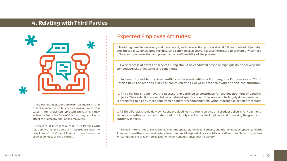### **9. Relating with Third Parties**



Third Parties' operations are often an important and essential mean to do business. However, in certain cases, Third Parties can represent Eneva and, if they violate the law or the Code of Conduct, they can directly affect the Company and/ or its Employees.

Therefore, it is essential that Third Parties with relation with Eneva operate in accordance with the principles of this Code of Conduct, therefore as the Code of Conduct of Third Parties.

### Expected Employee Attitudes:

All Eneva Third Parties of Eneva should meet the applicable legal requirements and the generally accepted standards in connection with environment, safety, health and social responsibility, especially in relation to prohibition of practices of corruption and child or forced labor or under condition analogous to slavery.

I. The hiring must be necessary and transparent, and the selection process should follow criteria of objectivity and impartiality, considering technical and commercial aspects. It is also necessary to prevent any conflict of interest upon selection and preserve the confidentiality of the process;

II. Every process of assets or services hiring should be conducted based on high quality of delivery and competitiveness of its terms and conditions;

III. In case of possible or actual conflicts of interests with the Company, the Employees and Third Parties have the responsibility for communicating Eneva in order to avoid or solve the situation;

IV. Third Parties should have the necessary experience to contribute for the development of specific projects. Their selection should follow a detailed specification of the work and be largely documented – it is prohibited to hire by mere appointment and/or recommendation, without proper selection procedure;

V. All Third Parties should duly evince the provided work, either a service or a product delivery. Any payment can only be authorized upon existence of proof, duly checked by the Employee and observing the grants of authority in force.

index

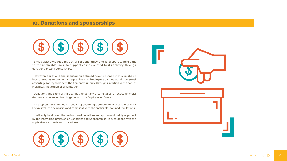### **10. Donations and sponsorships**

Eneva acknowledges its social responsibility and is prepared, pursuant to the applicable laws, to support causes related to its activity through donations and/or sponsorships.

However, donations and sponsorships should never be made if they might be interpreted as undue advantages. Eneva's Employees cannot obtain personal advantage (or try to benefit the Company) unduly, through a relation with another individual, institution or organization.

Donations and sponsorships cannot, under any circumstance, affect commercial decisions or create undue obligations to the Employee or Eneva.

All projects receiving donations or sponsorships should be in accordance with Eneva's values and policies and compliant with the applicable laws and regulations.

It will only be allowed the realization of donations and sponsorships duly approved by the Internal Commission of Donations and Sponsorships, in accordance with the applicable standards and procedures.





index

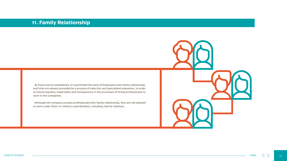### **11. Family Relationship**

At Eneva and its subsidiaries, it is permitted the work of Employees with family relationship, and hires are always preceded by a process of selection and specialized evaluation, in order to ensure equality, impartiality and transparency in the processes of hiring professionals to work in the companies.

Although the company accepts professionals with family relationship, they are not allowed to work under direct or indirect subordination, including marital relations.





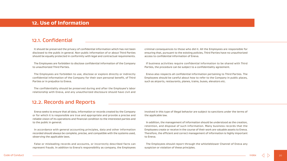### **12. Use of Information**

### 12.1. Confidential

### 12.2. Records and Reports

It should be preserved the privacy of confidential information which has not been disclosed to the public in general. Non-public information of or about Third Parties should be equally protected in conformity with legal and contractual requirements.

The Employees are forbidden to disclose confidential information of the Company to unauthorized Third Parties.

The Employees are forbidden to use, disclose or explore directly or indirectly confidential information of the Company for their own personal benefit, of Third Parties or in prejudice to Eneva.

The confidentiality should be preserved during and after the Employee's labo relationship with Eneva, and any unauthorized disclosure should have civil and

In accordance with general accounting principles, data and other information recorded should always be complete, precise, and compatible with the systems used, observing the applicable laws.

Eneva seeks to ensure that all data, information or records created by the Company or for which it is responsible are true and appropriate and provide a precise and reliable vision of its operations and financial condition to the interested parties and to the public in general.

| n<br>S.<br>5.           | criminal consequences to those who did it. All the Employees are responsible for<br>ensuring that, pursuant to the existing policies, Third Parties have no unauthorized<br>access to confidential information of Eneva.                     |
|-------------------------|----------------------------------------------------------------------------------------------------------------------------------------------------------------------------------------------------------------------------------------------|
| y                       | If business activities require confidential information to be shared with Third<br>Parties, the procedure can be subject to a confidentiality agreement.                                                                                     |
| y<br>d                  | Eneva also respects all confidential information pertaining to Third Parties. The<br>Employees should be careful about how to refer to the Company in public places,<br>such as airports, restaurants, planes, trains, buses, elevators etc. |
| r,                      |                                                                                                                                                                                                                                              |
| $\overline{\mathsf{d}}$ |                                                                                                                                                                                                                                              |
|                         |                                                                                                                                                                                                                                              |
|                         |                                                                                                                                                                                                                                              |
| V                       | involved in this type of illegal behavior are subject to sanctions under the terms of                                                                                                                                                        |
| d                       | the applicable law.                                                                                                                                                                                                                          |
| $\mathsf{d}$            |                                                                                                                                                                                                                                              |
|                         | In addition, the management of information should be understood as the creation,<br>retention, and disposal of such information. Many business records that the                                                                              |
| n                       | Employees create or receive in the course of their work are valuable assets to Eneva.                                                                                                                                                        |

False or misleading records and accounts, or incorrectly described facts can represent frauds. In addition to Eneva's responsibility as company, the Employees

- Employees create or receive in the course of their work are valuable assets to Eneva. Therefore, the efficient and correct management of information is highly important to Eneva.
- The Employees should report through the whistleblower Channel of Eneva any suspicion or violation of these principles.

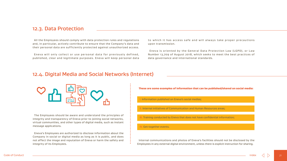### 12.4. Digital Media and Social Networks (Internet)



| ons<br>and | to which it has access safe and will always take proper precautions<br>upon transmission. |
|------------|-------------------------------------------------------------------------------------------|
| <b>SS.</b> |                                                                                           |
|            | Eneva is oriented by the General Data Protection Law (LGPD), or Law                       |
| ed,        | Number 13,709 of August 2018, which seeks to meet the best practices of                   |
| ata        | data governance and international standards.                                              |

The Employees should be aware and understand the principles of integrity and transparency of Eneva prior to joining social networks, virtual communities, and other types of digital media, such as instant message applications.

Eneva's Employees are authorized to disclose information about the Company in social or digital media as long as it is public, and does not affect the image and reputation of Eneva or harm the safety and integrity of its Employees.

Internal communications and photos of Eneva's facilities should not be disclosed by the Employees in any external digital environment, unless there is explicit instruction for sharing.

These are some examples of information that can be published/shared on social media:

- I. Information published on Eneva's social medias;
- II. Internal initiatives of Communication and Human Resources areas;
- III. Training conducted by Eneva that does not have confidential information;

IV. Get-together events.

### 12.3. Data Protection

All the Employees should comply with data protection rules and regulation and, in particular, actively contribute to ensure that the Company's data a their personal data are sufficiently protected against unauthorized acce

Eneva will only collect or use personal data for previously define published, clear and legitimate purposes. Eneva will keep personal da



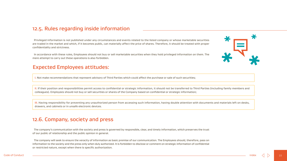### 12.5. Rules regarding inside information

Privileged information is not published under any circumstances and events related to the listed company or whose marketable securities are traded in the market and which, if it becomes public, can materially affect the price of shares. Therefore, it should be treated with proper confidentiality and strictness.

In accordance with these rules, Employees should not buy or sell marketable securities when they hold privileged information on them. The mere attempt to carry out these operations is also forbidden.

II. If their position and responsibilities permit access to confidential or strategic information, it should not be transferred to Third Parties (including family members and colleagues). Employees should not buy or sell securities or shares of the Company based on confidential or strategic information;

### Expected Employees attitudes:

III. Having responsibility for preventing any unauthorized person from accessing such information, having double attention with documents and materials left on desks, drawers, and cabinets or in unsafe electronic devices.

I. Not make recommendations that represent advisory of Third Parties which could affect the purchase or sale of such securities;

### 12.6. Company, society and press

The company's communication with the society and press is governed by responsible, clear, and timely information, which preserves the trust of our public of relationship and the public opinion in general.

The company will seek to ensure the veracity of information as basic premise of our communication. The Employees should, therefore, pass on information to the society and the press only when duly authorized. It is forbidden to disclose or comment on strategic information of confidential or restricted nature, except when there is specific authorization.

 $\bigstar$ 



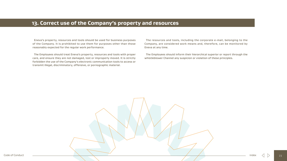

### **13. Correct use of the Company's property and resources**

Eneva's property, resources and tools should be used for business purposes of the Company. It is prohibited to use them for purposes other than those reasonably expected for the regular work performance.

The Employees should treat Eneva's property, resources and tools with proper care, and ensure they are not damaged, lost or improperly moved. It is strictly forbidden the use of the Company's electronic communication tools to access or transmit illegal, discriminatory, offensive, or pornographic material.

- The resources and tools, including the corporate e-mail, belonging to the Company, are considered work means and, therefore, can be monitored by Eneva at any time.
- The Employees should inform their hierarchical superior or report through the whistleblower Channel any suspicion or violation of these principles.
- 



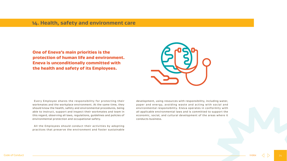### **14. Health, safety and environment care**

One of Eneva's main priorities is the protection of human life and environment. Eneva is unconditionally committed with the health and safety of its Employees.

Every Employee shares the responsibility for protecting their workmates and the workplace environment. At the same time, they should know the health, safety and environmental procedures, being able to instruct, support and inspect their workmates and team in this regard, observing all laws, regulations, guidelines and policies of environmental protection and occupational safety.

All the Employees should conduct their activities by adopting practices that preserve the environment and foster sustainable



development, using resources with responsibility, including water, paper and energy, avoiding waste and acting with social and environmental responsibility. Eneva operates in conformity with all applicable environmental laws and is committed to support the economic, social, and cultural development of the areas where it conducts business.

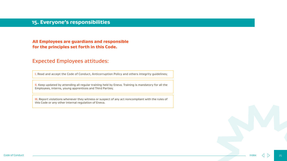### **15. Everyone's responsibilities**

### All Employees are guardians and responsible for the principles set forth in this Code.

### Expected Employees attitudes:

II. Keep updated by attending all regular training held by Eneva. Training is mandatory for all the Employees, interns, young apprentices and Third Parties;

I. Read and accept the Code of Conduct, Anticorruption Policy and others integrity guidelines;

III. Report violations whenever they witness or suspect of any act noncompliant with the rules of this Code or any other internal regulation of Eneva.

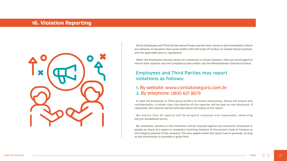### **16. Violation Reporting**



 $\left\langle \text{Code of Conduct} \right\rangle$  and  $\left\langle \text{Oode of Conduct} \right\rangle$  and  $\left\langle \text{Oode of Conduct} \right\rangle$  and  $\left\langle \text{Oode of Conduct} \right\rangle$  and  $\left\langle \text{Oode of$ **Conductive conductive** $$\left\langle \text{Oode of Conduct} \right\rangle$  and  $\left\langle \text{Oode of$ **Conductive conductive conductive conductive** $conductive cond$$ 

All the Employees and Third Parties should freely express their concerns and immediately inform any behavior or situation that could conflict with this Code of Conduct or violate Eneva's policies, and the applicable laws or regulations.

When the Employees become aware of a potential or actual violation, they are encouraged to inform their superior and the Compliance area and/or use the Whistleblower Channel of Eneva.

In case the Employee or Third party prefers to remain anonymous, Eneva will ensure this confidentiality. In either case, the identity of the reporter will be kept as non-disclosed. If requested, the reporter will be informed about the status of the report.

We ensure that all reports will be properly analyzed and responded, observing the pre-established terms.

No retaliation, penalty or discrimination will be imposed against any executive, Employee or people as result of a report or complaint involving violation of the present Code of Conduct or the integrity policies of the company. This also applies when the report has no grounds, as long as the information is provided in good faith.

### Employees and Third Parties may report violations as follows:

### 1. By website: www.contatoseguro.com.br 2. By telephone: 0800 601 8679

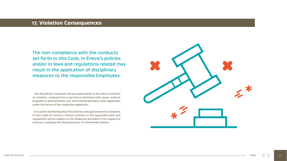### **17. Violation Consequences**

The disciplinary measures will be proportional to the nature and level of violation, ranging from a warning to dismissal with cause, without prejudice to administrative, civil, and criminal sanctions, when applicable, under the terms of the respective legislation.

It is worth mentioning that Third Parties who get involved in violations of this Code of Conduct, Eneva's policies or the applicable laws and regulations will be subject to the measures provided in the respective contract, including the discontinuance of commercial relation.



The non-compliance with the conducts set forth in this Code, in Eneva's policies and/or in laws and regulations related may result in the application of disciplinary measures to the responsible Employees.